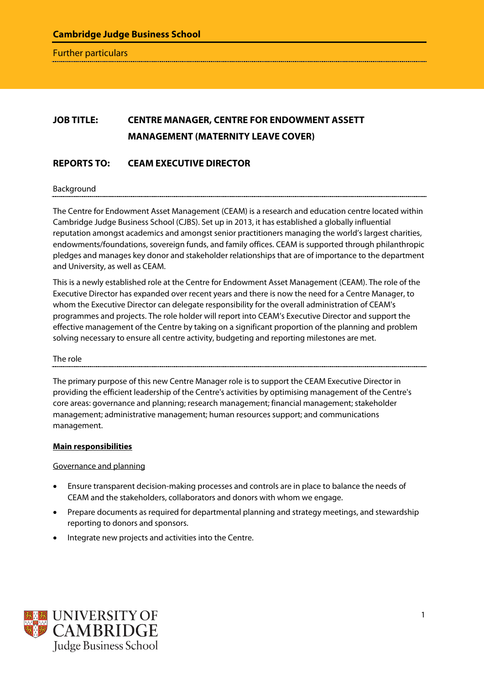Further particulars

# **JOB TITLE: CENTRE MANAGER, CENTRE FOR ENDOWMENT ASSETT MANAGEMENT (MATERNITY LEAVE COVER)**

## **REPORTS TO: CEAM EXECUTIVE DIRECTOR**

Background

The Centre for Endowment Asset Management (CEAM) is a research and education centre located within Cambridge Judge Business School (CJBS). Set up in 2013, it has established a globally influential reputation amongst academics and amongst senior practitioners managing the world's largest charities, endowments/foundations, sovereign funds, and family offices. CEAM is supported through philanthropic pledges and manages key donor and stakeholder relationships that are of importance to the department and University, as well as CEAM.

This is a newly established role at the Centre for Endowment Asset Management (CEAM). The role of the Executive Director has expanded over recent years and there is now the need for a Centre Manager, to whom the Executive Director can delegate responsibility for the overall administration of CEAM's programmes and projects. The role holder will report into CEAM's Executive Director and support the effective management of the Centre by taking on a significant proportion of the planning and problem solving necessary to ensure all centre activity, budgeting and reporting milestones are met.

#### The role

The primary purpose of this new Centre Manager role is to support the CEAM Executive Director in providing the efficient leadership of the Centre's activities by optimising management of the Centre's core areas: governance and planning; research management; financial management; stakeholder management; administrative management; human resources support; and communications management.

#### **Main responsibilities**

Governance and planning

- Ensure transparent decision-making processes and controls are in place to balance the needs of CEAM and the stakeholders, collaborators and donors with whom we engage.
- Prepare documents as required for departmental planning and strategy meetings, and stewardship reporting to donors and sponsors.
- Integrate new projects and activities into the Centre.

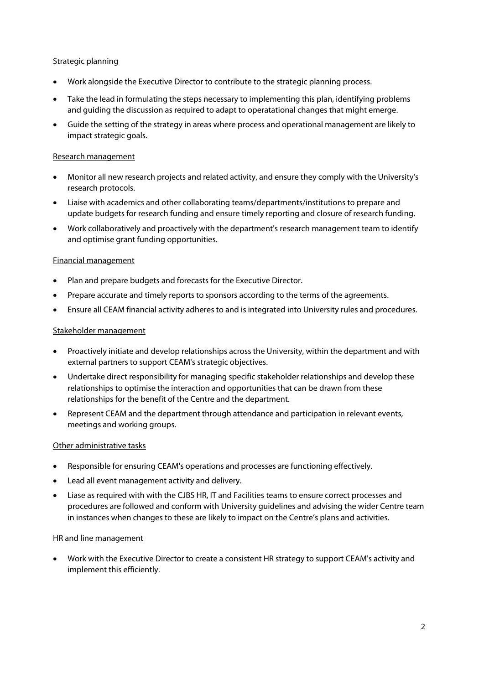### Strategic planning

- Work alongside the Executive Director to contribute to the strategic planning process.
- Take the lead in formulating the steps necessary to implementing this plan, identifying problems and guiding the discussion as required to adapt to operatational changes that might emerge.
- Guide the setting of the strategy in areas where process and operational management are likely to impact strategic goals.

#### Research management

- Monitor all new research projects and related activity, and ensure they comply with the University's research protocols.
- Liaise with academics and other collaborating teams/departments/institutions to prepare and update budgets for research funding and ensure timely reporting and closure of research funding.
- Work collaboratively and proactively with the department's research management team to identify and optimise grant funding opportunities.

### Financial management

- Plan and prepare budgets and forecasts for the Executive Director.
- Prepare accurate and timely reports to sponsors according to the terms of the agreements.
- Ensure all CEAM financial activity adheres to and is integrated into University rules and procedures.

### Stakeholder management

- Proactively initiate and develop relationships across the University, within the department and with external partners to support CEAM's strategic objectives.
- Undertake direct responsibility for managing specific stakeholder relationships and develop these relationships to optimise the interaction and opportunities that can be drawn from these relationships for the benefit of the Centre and the department.
- Represent CEAM and the department through attendance and participation in relevant events, meetings and working groups.

#### Other administrative tasks

- Responsible for ensuring CEAM's operations and processes are functioning effectively.
- Lead all event management activity and delivery.
- Liase as required with with the CJBS HR, IT and Facilities teams to ensure correct processes and procedures are followed and conform with University guidelines and advising the wider Centre team in instances when changes to these are likely to impact on the Centre's plans and activities.

#### HR and line management

• Work with the Executive Director to create a consistent HR strategy to support CEAM's activity and implement this efficiently.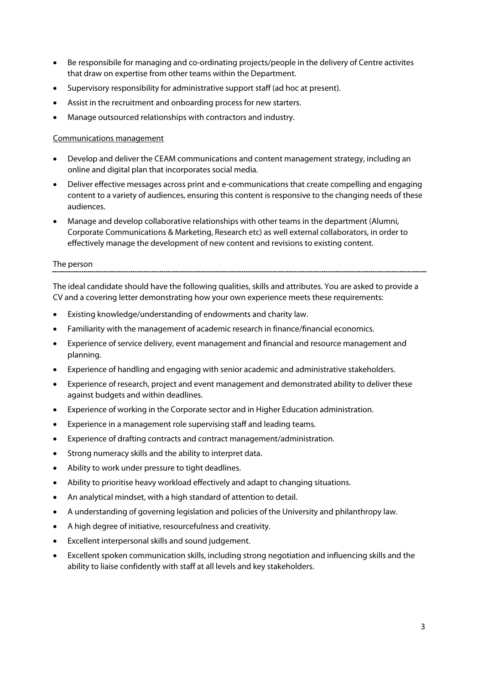- Be responsibile for managing and co-ordinating projects/people in the delivery of Centre activites that draw on expertise from other teams within the Department.
- Supervisory responsibility for administrative support staff (ad hoc at present).
- Assist in the recruitment and onboarding process for new starters.
- Manage outsourced relationships with contractors and industry.

#### Communications management

- Develop and deliver the CEAM communications and content management strategy, including an online and digital plan that incorporates social media.
- Deliver effective messages across print and e-communications that create compelling and engaging content to a variety of audiences, ensuring this content is responsive to the changing needs of these audiences.
- Manage and develop collaborative relationships with other teams in the department (Alumni, Corporate Communications & Marketing, Research etc) as well external collaborators, in order to effectively manage the development of new content and revisions to existing content.

#### The person

The ideal candidate should have the following qualities, skills and attributes. You are asked to provide a CV and a covering letter demonstrating how your own experience meets these requirements:

- Existing knowledge/understanding of endowments and charity law.
- Familiarity with the management of academic research in finance/financial economics.
- Experience of service delivery, event management and financial and resource management and planning.
- Experience of handling and engaging with senior academic and administrative stakeholders.
- Experience of research, project and event management and demonstrated ability to deliver these against budgets and within deadlines.
- Experience of working in the Corporate sector and in Higher Education administration.
- Experience in a management role supervising staff and leading teams.
- Experience of drafting contracts and contract management/administration.
- Strong numeracy skills and the ability to interpret data.
- Ability to work under pressure to tight deadlines.
- Ability to prioritise heavy workload effectively and adapt to changing situations.
- An analytical mindset, with a high standard of attention to detail.
- A understanding of governing legislation and policies of the University and philanthropy law.
- A high degree of initiative, resourcefulness and creativity.
- Excellent interpersonal skills and sound judgement.
- Excellent spoken communication skills, including strong negotiation and influencing skills and the ability to liaise confidently with staff at all levels and key stakeholders.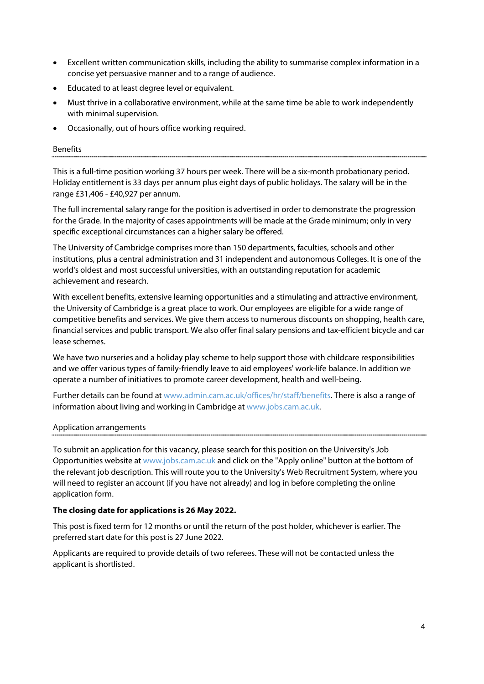- Excellent written communication skills, including the ability to summarise complex information in a concise yet persuasive manner and to a range of audience.
- Educated to at least degree level or equivalent.
- Must thrive in a collaborative environment, while at the same time be able to work independently with minimal supervision.
- Occasionally, out of hours office working required.

#### Benefits

This is a full-time position working 37 hours per week. There will be a six-month probationary period. Holiday entitlement is 33 days per annum plus eight days of public holidays. The salary will be in the range £31,406 - £40,927 per annum.

The full incremental salary range for the position is advertised in order to demonstrate the progression for the Grade. In the majority of cases appointments will be made at the Grade minimum; only in very specific exceptional circumstances can a higher salary be offered.

The University of Cambridge comprises more than 150 departments, faculties, schools and other institutions, plus a central administration and 31 independent and autonomous Colleges. It is one of the world's oldest and most successful universities, with an outstanding reputation for academic achievement and research.

With excellent benefits, extensive learning opportunities and a stimulating and attractive environment, the University of Cambridge is a great place to work. Our employees are eligible for a wide range of competitive benefits and services. We give them access to numerous discounts on shopping, health care, financial services and public transport. We also offer final salary pensions and tax-efficient bicycle and car lease schemes.

We have two nurseries and a holiday play scheme to help support those with childcare responsibilities and we offer various types of family-friendly leave to aid employees' work-life balance. In addition we operate a number of initiatives to promote career development, health and well-being.

Further details can be found a[t www.admin.cam.ac.uk/offices/hr/staff/benefits.](http://www.admin.cam.ac.uk/offices/hr/staff/benefits/) There is also a range of information about living and working in Cambridge a[t www.jobs.cam.ac.uk.](http://www.jobs.cam.ac.uk/)

#### Application arrangements

To submit an application for this vacancy, please search for this position on the University's Job Opportunities website at [www.jobs.cam.ac.uk](http://www.jobs.cam.ac.uk/) and click on the "Apply online" button at the bottom of the relevant job description. This will route you to the University's Web Recruitment System, where you will need to register an account (if you have not already) and log in before completing the online application form.

#### **The closing date for applications is 26 May 2022.**

This post is fixed term for 12 months or until the return of the post holder, whichever is earlier. The preferred start date for this post is 27 June 2022.

Applicants are required to provide details of two referees. These will not be contacted unless the applicant is shortlisted.